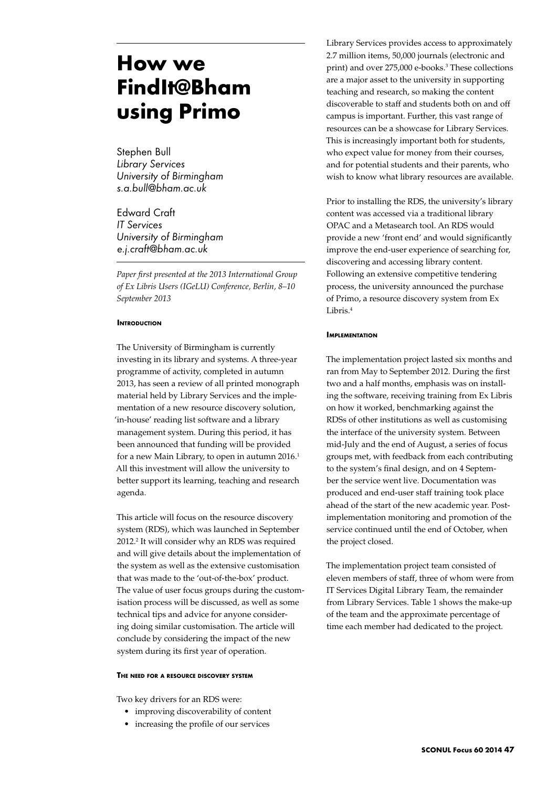# **How we FindIt@Bham using Primo**

Stephen Bull *Library Services University of Birmingham s.a.bull@bham.ac.uk*

Edward Craft *IT Services University of Birmingham e.j.craft@bham.ac.uk*

*Paper first presented at the 2013 International Group of Ex Libris Users (IGeLU) Conference, Berlin, 8–10 September 2013*

# **INTRODUCTION**

The University of Birmingham is currently investing in its library and systems. A three-year programme of activity, completed in autumn 2013, has seen a review of all printed monograph material held by Library Services and the implementation of a new resource discovery solution, 'in-house' reading list software and a library management system. During this period, it has been announced that funding will be provided for a new Main Library, to open in autumn  $2016<sup>1</sup>$ All this investment will allow the university to better support its learning, teaching and research agenda.

This article will focus on the resource discovery system (RDS), which was launched in September 2012.2 It will consider why an RDS was required and will give details about the implementation of the system as well as the extensive customisation that was made to the 'out-of-the-box' product. The value of user focus groups during the customisation process will be discussed, as well as some technical tips and advice for anyone considering doing similar customisation. The article will conclude by considering the impact of the new system during its first year of operation.

#### **The need for a resource discovery system**

Two key drivers for an RDS were:

- • improving discoverability of content
- increasing the profile of our services

Library Services provides access to approximately 2.7 million items, 50,000 journals (electronic and print) and over 275,000 e-books.3 These collections are a major asset to the university in supporting teaching and research, so making the content discoverable to staff and students both on and off campus is important. Further, this vast range of resources can be a showcase for Library Services. This is increasingly important both for students, who expect value for money from their courses, and for potential students and their parents, who wish to know what library resources are available.

Prior to installing the RDS, the university's library content was accessed via a traditional library OPAC and a Metasearch tool. An RDS would provide a new 'front end' and would significantly improve the end-user experience of searching for, discovering and accessing library content. Following an extensive competitive tendering process, the university announced the purchase of Primo, a resource discovery system from Ex Libris.4

#### **Implementation**

The implementation project lasted six months and ran from May to September 2012. During the first two and a half months, emphasis was on installing the software, receiving training from Ex Libris on how it worked, benchmarking against the RDSs of other institutions as well as customising the interface of the university system. Between mid-July and the end of August, a series of focus groups met, with feedback from each contributing to the system's final design, and on 4 September the service went live. Documentation was produced and end-user staff training took place ahead of the start of the new academic year. Postimplementation monitoring and promotion of the service continued until the end of October, when the project closed.

The implementation project team consisted of eleven members of staff, three of whom were from IT Services Digital Library Team, the remainder from Library Services. Table 1 shows the make-up of the team and the approximate percentage of time each member had dedicated to the project.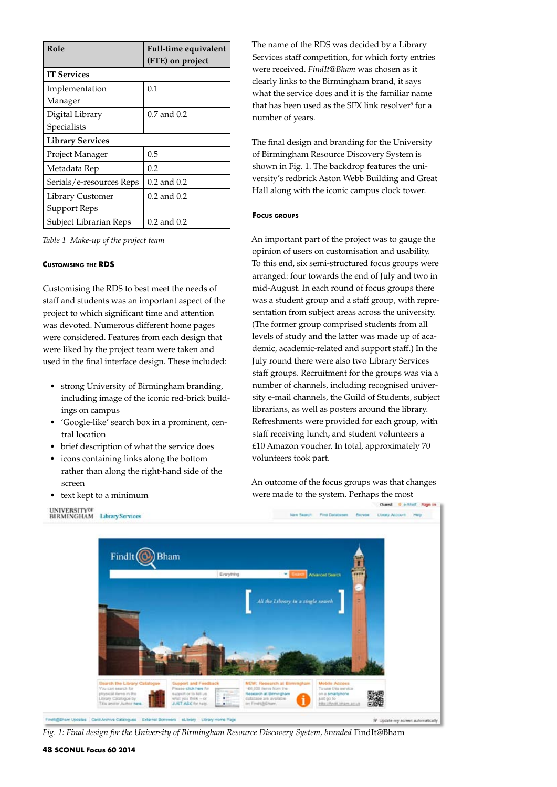| Role                             | <b>Full-time equivalent</b><br>(FTE) on project |
|----------------------------------|-------------------------------------------------|
| <b>IT Services</b>               |                                                 |
| Implementation<br>Manager        | 0.1                                             |
| Digital Library<br>Specialists   | $0.7$ and $0.2$                                 |
| <b>Library Services</b>          |                                                 |
| Project Manager                  | 0.5                                             |
| Metadata Rep                     | 0.2                                             |
| Serials/e-resources Reps         | $0.2$ and $0.2$                                 |
| Library Customer<br>Support Reps | $0.2$ and $0.2$                                 |
| Subject Librarian Reps           | 0.2 and 0.2                                     |

*Table 1 Make-up of the project team*

# **Customising the RDS**

Customising the RDS to best meet the needs of staff and students was an important aspect of the project to which significant time and attention was devoted. Numerous different home pages were considered. Features from each design that were liked by the project team were taken and used in the final interface design. These included:

- • strong University of Birmingham branding, including image of the iconic red-brick buildings on campus
- • 'Google-like' search box in a prominent, central location
- brief description of what the service does
- icons containing links along the bottom rather than along the right-hand side of the screen
- • text kept to a minimum

The name of the RDS was decided by a Library Services staff competition, for which forty entries were received. *FindIt@Bham* was chosen as it clearly links to the Birmingham brand, it says what the service does and it is the familiar name that has been used as the SFX link resolver<sup>5</sup> for a number of years.

The final design and branding for the University of Birmingham Resource Discovery System is shown in Fig. 1. The backdrop features the university's redbrick Aston Webb Building and Great Hall along with the iconic campus clock tower.

#### **Focus groups**

An important part of the project was to gauge the opinion of users on customisation and usability. To this end, six semi-structured focus groups were arranged: four towards the end of July and two in mid-August. In each round of focus groups there was a student group and a staff group, with representation from subject areas across the university. (The former group comprised students from all levels of study and the latter was made up of academic, academic-related and support staff.) In the July round there were also two Library Services staff groups. Recruitment for the groups was via a number of channels, including recognised university e-mail channels, the Guild of Students, subject librarians, as well as posters around the library. Refreshments were provided for each group, with staff receiving lunch, and student volunteers a £10 Amazon voucher. In total, approximately 70 volunteers took part.

An outcome of the focus groups was that changes were made to the system. Perhaps the most



*Fig. 1: Final design for the University of Birmingham Resource Discovery System, branded* FindIt@Bham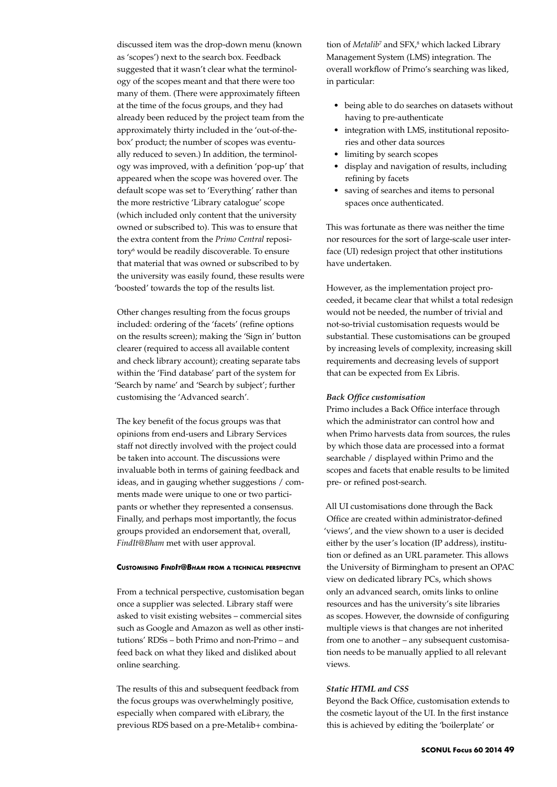discussed item was the drop-down menu (known as 'scopes') next to the search box. Feedback suggested that it wasn't clear what the terminology of the scopes meant and that there were too many of them. (There were approximately fifteen at the time of the focus groups, and they had already been reduced by the project team from the approximately thirty included in the 'out-of-thebox' product; the number of scopes was eventually reduced to seven.) In addition, the terminology was improved, with a definition 'pop-up' that appeared when the scope was hovered over. The default scope was set to 'Everything' rather than the more restrictive 'Library catalogue' scope (which included only content that the university owned or subscribed to). This was to ensure that the extra content from the *Primo Central* repository<sup>6</sup> would be readily discoverable. To ensure that material that was owned or subscribed to by the university was easily found, these results were 'boosted' towards the top of the results list.

Other changes resulting from the focus groups included: ordering of the 'facets' (refine options on the results screen); making the 'Sign in' button clearer (required to access all available content and check library account); creating separate tabs within the 'Find database' part of the system for 'Search by name' and 'Search by subject'; further customising the 'Advanced search'.

The key benefit of the focus groups was that opinions from end-users and Library Services staff not directly involved with the project could be taken into account. The discussions were invaluable both in terms of gaining feedback and ideas, and in gauging whether suggestions / comments made were unique to one or two participants or whether they represented a consensus. Finally, and perhaps most importantly, the focus groups provided an endorsement that, overall, *FindIt@Bham* met with user approval.

# **Customising** *FindIt@Bham* **from <sup>a</sup> technical perspective**

From a technical perspective, customisation began once a supplier was selected. Library staff were asked to visit existing websites – commercial sites such as Google and Amazon as well as other institutions' RDSs – both Primo and non-Primo – and feed back on what they liked and disliked about online searching.

The results of this and subsequent feedback from the focus groups was overwhelmingly positive, especially when compared with eLibrary, the previous RDS based on a pre-Metalib+ combination of *Metalib*<sup>7</sup> and SFX,<sup>8</sup> which lacked Library Management System (LMS) integration. The overall workflow of Primo's searching was liked, in particular:

- being able to do searches on datasets without having to pre-authenticate
- integration with LMS, institutional repositories and other data sources
- limiting by search scopes
- • display and navigation of results, including refining by facets
- saving of searches and items to personal spaces once authenticated.

This was fortunate as there was neither the time nor resources for the sort of large-scale user interface (UI) redesign project that other institutions have undertaken.

However, as the implementation project proceeded, it became clear that whilst a total redesign would not be needed, the number of trivial and not-so-trivial customisation requests would be substantial. These customisations can be grouped by increasing levels of complexity, increasing skill requirements and decreasing levels of support that can be expected from Ex Libris.

#### *Back Office customisation*

Primo includes a Back Office interface through which the administrator can control how and when Primo harvests data from sources, the rules by which those data are processed into a format searchable / displayed within Primo and the scopes and facets that enable results to be limited pre- or refined post-search.

All UI customisations done through the Back Office are created within administrator-defined 'views', and the view shown to a user is decided either by the user's location (IP address), institution or defined as an URL parameter. This allows the University of Birmingham to present an OPAC view on dedicated library PCs, which shows only an advanced search, omits links to online resources and has the university's site libraries as scopes. However, the downside of configuring multiple views is that changes are not inherited from one to another – any subsequent customisation needs to be manually applied to all relevant views.

# *Static HTML and CSS*

Beyond the Back Office, customisation extends to the cosmetic layout of the UI. In the first instance this is achieved by editing the 'boilerplate' or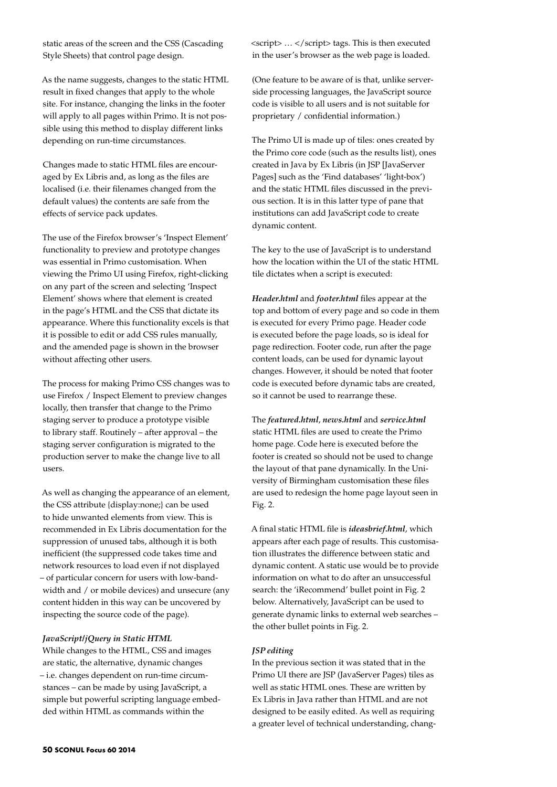static areas of the screen and the CSS (Cascading Style Sheets) that control page design.

As the name suggests, changes to the static HTML result in fixed changes that apply to the whole site. For instance, changing the links in the footer will apply to all pages within Primo. It is not possible using this method to display different links depending on run-time circumstances.

Changes made to static HTML files are encouraged by Ex Libris and, as long as the files are localised (i.e. their filenames changed from the default values) the contents are safe from the effects of service pack updates.

The use of the Firefox browser's 'Inspect Element' functionality to preview and prototype changes was essential in Primo customisation. When viewing the Primo UI using Firefox, right-clicking on any part of the screen and selecting 'Inspect Element' shows where that element is created in the page's HTML and the CSS that dictate its appearance. Where this functionality excels is that it is possible to edit or add CSS rules manually, and the amended page is shown in the browser without affecting other users.

The process for making Primo CSS changes was to use Firefox / Inspect Element to preview changes locally, then transfer that change to the Primo staging server to produce a prototype visible to library staff. Routinely – after approval – the staging server configuration is migrated to the production server to make the change live to all users.

As well as changing the appearance of an element, the CSS attribute {display:none;} can be used to hide unwanted elements from view. This is recommended in Ex Libris documentation for the suppression of unused tabs, although it is both inefficient (the suppressed code takes time and network resources to load even if not displayed – of particular concern for users with low-bandwidth and / or mobile devices) and unsecure (any content hidden in this way can be uncovered by inspecting the source code of the page).

# *JavaScript/jQuery in Static HTML*

While changes to the HTML, CSS and images are static, the alternative, dynamic changes – i.e. changes dependent on run-time circumstances – can be made by using JavaScript, a simple but powerful scripting language embedded within HTML as commands within the

<script> … </script> tags. This is then executed in the user's browser as the web page is loaded.

(One feature to be aware of is that, unlike serverside processing languages, the JavaScript source code is visible to all users and is not suitable for proprietary / confidential information.)

The Primo UI is made up of tiles: ones created by the Primo core code (such as the results list), ones created in Java by Ex Libris (in JSP [JavaServer Pages] such as the 'Find databases' 'light-box') and the static HTML files discussed in the previous section. It is in this latter type of pane that institutions can add JavaScript code to create dynamic content.

The key to the use of JavaScript is to understand how the location within the UI of the static HTML tile dictates when a script is executed:

*Header.html* and *footer.html* files appear at the top and bottom of every page and so code in them is executed for every Primo page. Header code is executed before the page loads, so is ideal for page redirection. Footer code, run after the page content loads, can be used for dynamic layout changes. However, it should be noted that footer code is executed before dynamic tabs are created, so it cannot be used to rearrange these.

The *featured.html*, *news.html* and *service.html* static HTML files are used to create the Primo home page. Code here is executed before the footer is created so should not be used to change the layout of that pane dynamically. In the University of Birmingham customisation these files are used to redesign the home page layout seen in Fig. 2.

A final static HTML file is *ideasbrief.html*, which appears after each page of results. This customisation illustrates the difference between static and dynamic content. A static use would be to provide information on what to do after an unsuccessful search: the 'iRecommend' bullet point in Fig. 2 below. Alternatively, JavaScript can be used to generate dynamic links to external web searches – the other bullet points in Fig. 2.

# *JSP editing*

In the previous section it was stated that in the Primo UI there are JSP (JavaServer Pages) tiles as well as static HTML ones. These are written by Ex Libris in Java rather than HTML and are not designed to be easily edited. As well as requiring a greater level of technical understanding, chang-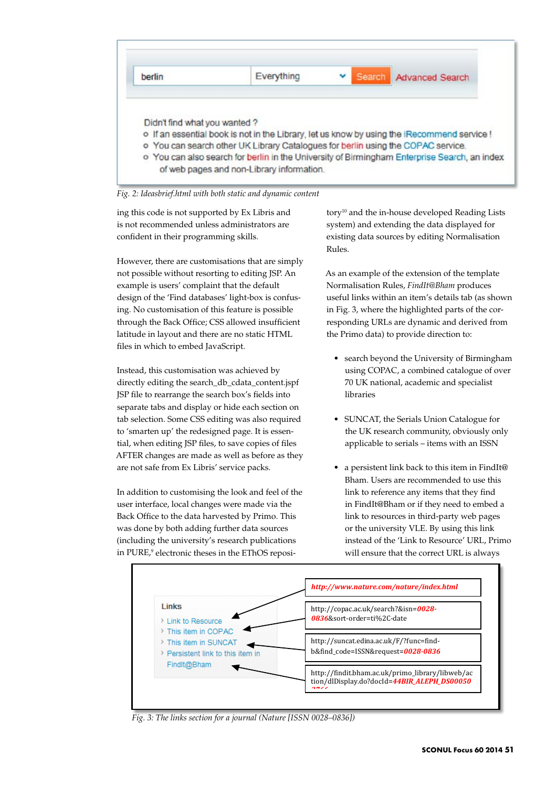



ing this code is not supported by Ex Libris and is not recommended unless administrators are confident in their programming skills.

However, there are customisations that are simply not possible without resorting to editing JSP. An example is users' complaint that the default design of the 'Find databases' light-box is confusing. No customisation of this feature is possible through the Back Office; CSS allowed insufficient latitude in layout and there are no static HTML files in which to embed JavaScript.

Instead, this customisation was achieved by directly editing the search\_db\_cdata\_content.jspf JSP file to rearrange the search box's fields into separate tabs and display or hide each section on tab selection. Some CSS editing was also required to 'smarten up' the redesigned page. It is essential, when editing JSP files, to save copies of files AFTER changes are made as well as before as they are not safe from Ex Libris' service packs.

In addition to customising the look and feel of the user interface, local changes were made via the Back Office to the data harvested by Primo. This was done by both adding further data sources (including the university's research publications in PURE,<sup>9</sup> electronic theses in the EThOS repository<sup>10</sup> and the in-house developed Reading Lists system) and extending the data displayed for existing data sources by editing Normalisation Rules.

As an example of the extension of the template Normalisation Rules, *FindIt@Bham* produces useful links within an item's details tab (as shown in Fig. 3, where the highlighted parts of the corresponding URLs are dynamic and derived from the Primo data) to provide direction to:

- search beyond the University of Birmingham using COPAC, a combined catalogue of over 70 UK national, academic and specialist libraries
- SUNCAT, the Serials Union Catalogue for the UK research community, obviously only applicable to serials – items with an ISSN
- a persistent link back to this item in FindIt@ Bham. Users are recommended to use this link to reference any items that they find in FindIt@Bham or if they need to embed a link to resources in third-party web pages or the university VLE. By using this link instead of the 'Link to Resource' URL, Primo will ensure that the correct URL is always



*Fig. 3: The links section for a journal (Nature [ISSN 0028–0836])*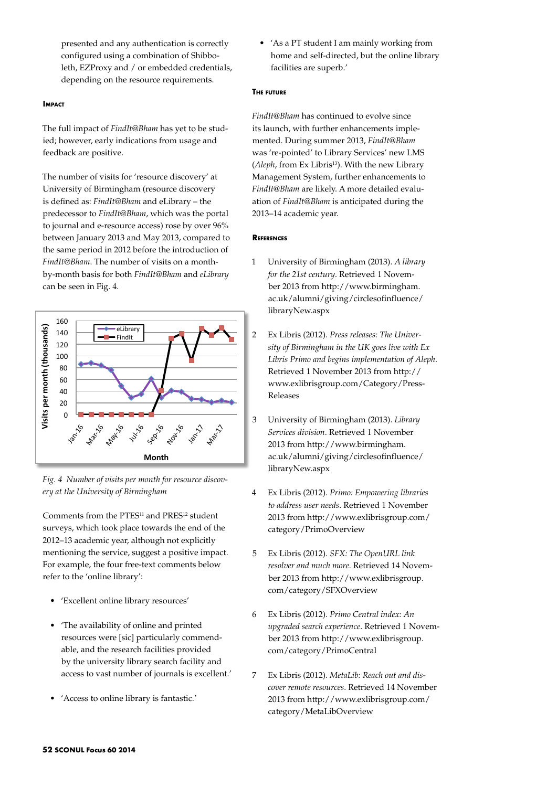presented and any authentication is correctly configured using a combination of Shibboleth, EZProxy and / or embedded credentials, depending on the resource requirements.

### **IMPACT**

The full impact of *FindIt@Bham* has yet to be studied; however, early indications from usage and feedback are positive.

The number of visits for 'resource discovery' at University of Birmingham (resource discovery is defined as: *FindIt@Bham* and eLibrary – the predecessor to *FindIt@Bham*, which was the portal to journal and e-resource access) rose by over 96% between January 2013 and May 2013, compared to the same period in 2012 before the introduction of *FindIt@Bham*. The number of visits on a monthby-month basis for both *FindIt@Bham* and *eLibrary* can be seen in Fig. 4.



*Fig. 4 Number of visits per month for resource discovery at the University of Birmingham*

Comments from the PTES<sup>11</sup> and PRES<sup>12</sup> student surveys, which took place towards the end of the 2012–13 academic year, although not explicitly mentioning the service, suggest a positive impact. For example, the four free-text comments below refer to the 'online library':

- • 'Excellent online library resources'
- • 'The availability of online and printed resources were [sic] particularly commendable, and the research facilities provided by the university library search facility and access to vast number of journals is excellent.'
- • 'Access to online library is fantastic.'

• 'As a PT student I am mainly working from home and self-directed, but the online library facilities are superb.'

# **The future**

*FindIt@Bham* has continued to evolve since its launch, with further enhancements implemented. During summer 2013, *FindIt@Bham* was 're-pointed' to Library Services' new LMS (*Aleph*, from Ex Libris<sup>13</sup>). With the new Library Management System, further enhancements to *FindIt@Bham* are likely. A more detailed evaluation of *FindIt@Bham* is anticipated during the 2013–14 academic year.

#### **DECEDENATES**

- 1 University of Birmingham (2013). *A library for the 21st century*. Retrieved 1 November 2013 from http://www.birmingham. ac.uk/alumni/giving/circlesofinfluence/ libraryNew.aspx
- 2 Ex Libris (2012). *Press releases: The University of Birmingham in the UK goes live with Ex Libris Primo and begins implementation of Aleph*. Retrieved 1 November 2013 from http:// www.exlibrisgroup.com/Category/Press-Releases
- 3 University of Birmingham (2013). *Library Services division*. Retrieved 1 November 2013 from http://www.birmingham. ac.uk/alumni/giving/circlesofinfluence/ libraryNew.aspx
- 4 Ex Libris (2012). *Primo: Empowering libraries to address user needs*. Retrieved 1 November 2013 from http://www.exlibrisgroup.com/ category/PrimoOverview
- 5 Ex Libris (2012). *SFX: The OpenURL link resolver and much more*. Retrieved 14 November 2013 from http://www.exlibrisgroup. com/category/SFXOverview
- 6 Ex Libris (2012). *Primo Central index: An upgraded search experience*. Retrieved 1 November 2013 from http://www.exlibrisgroup. com/category/PrimoCentral
- 7 Ex Libris (2012). *MetaLib: Reach out and discover remote resources*. Retrieved 14 November 2013 from http://www.exlibrisgroup.com/ category/MetaLibOverview